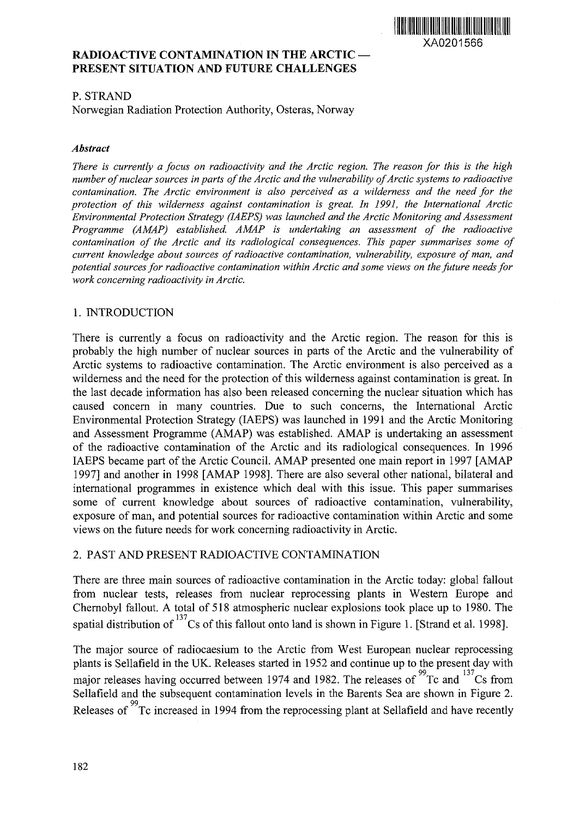

# **RADIOACTIVE CONTAMINATION IN THE ARCTIC — PRESENT SITUATION AND FUTURE CHALLENGES**

## P. STRAND

Norwegian Radiation Protection Authority, Osteras, Norway

#### *Abstract*

*There is currently a focus on radioactivity and the Arctic region. The reason for this is the high number of nuclear sources in parts of the Arctic and the vulnerability of Arctic systems to radioactive contamination. The Arctic environment is also perceived as a wilderness and the need for the protection of this wilderness against contamination is great. In 1991, the International Arctic Environmental Protection Strategy (IAEPS) was launched and the Arctic Monitoring and Assessment Programme (AMAP) established. AMAP is undertaking an assessment of the radioactive contamination of the Arctic and its radiological consequences. This paper summarises some of current knowledge about sources of radioactive contamination, vulnerability, exposure of man, and potential sources for radioactive contamination within Arctic and some views on the future needs for work concerning radioactivity in Arctic.*

# 1. INTRODUCTION

There is currently a focus on radioactivity and the Arctic region. The reason for this is probably the high number of nuclear sources in parts of the Arctic and the vulnerability of Arctic systems to radioactive contamination. The Arctic environment is also perceived as a wilderness and the need for the protection of this wilderness against contamination is great. In the last decade information has also been released concerning the nuclear situation which has caused concern in many countries. Due to such concerns, the International Arctic Environmental Protection Strategy (IAEPS) was launched in 1991 and the Arctic Monitoring and Assessment Programme (AMAP) was established. AMAP is undertaking an assessment of the radioactive contamination of the Arctic and its radiological consequences. In 1996 IAEPS became part of the Arctic Council. AMAP presented one main report in 1997 [AMAP 1997] and another in 1998 [AMAP 1998]. There are also several other national, bilateral and international programmes in existence which deal with this issue. This paper summarises some of current knowledge about sources of radioactive contamination, vulnerability, exposure of man, and potential sources for radioactive contamination within Arctic and some views on the future needs for work concerning radioactivity in Arctic.

## 2. PAST AND PRESENT RADIOACTIVE CONTAMINATION

There are three main sources of radioactive contamination in the Arctic today: global fallout from nuclear tests, releases from nuclear reprocessing plants in Western Europe and Chernobyl fallout. A total of 518 atmospheric nuclear explosions took place up to 1980. The spatial distribution of  $^{137}$ Cs of this fallout onto land is shown in Figure 1. [Strand et al. 1998].

The major source of radiocaesium to the Arctic from West European nuclear reprocessing plants is Sellafield in the UK. Releases started in 1952 and continue up to the present day with major releases having occurred between 1974 and 1982. The releases of  $^{99}$ Tc and  $^{137}$ Cs from Sellafield and the subsequent contamination levels in the Barents Sea are shown in Figure 2. Schanciu and the subsequent comamination levels in the Barents Sea are shown in Figure 2.<br>99 Releases of Tc increased in 1994 from the reprocessing plant at Sellafield and have recently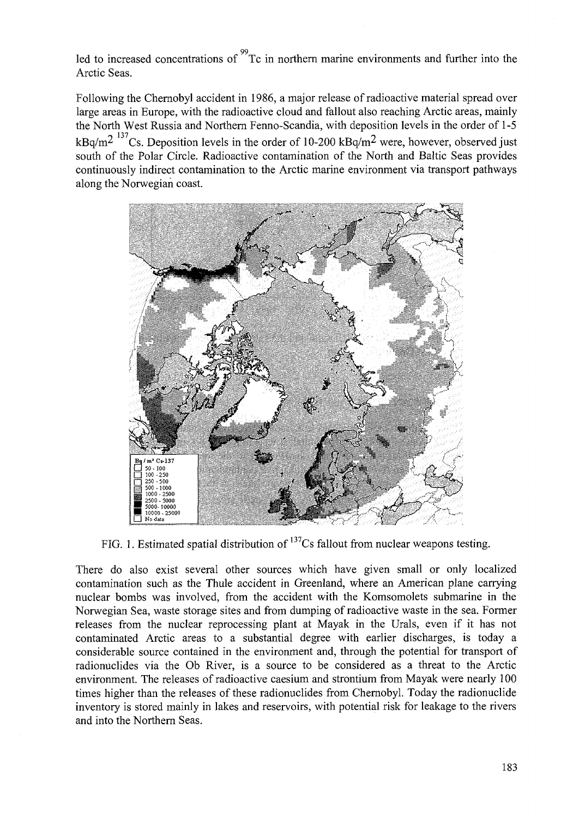led to increased concentrations of <sup>99</sup>Tc in northern marine environments and further into the Arctic Seas.

Following the Chernobyl accident in 1986, a major release of radioactive material spread over large areas in Europe, with the radioactive cloud and fallout also reaching Arctic areas, mainly the North West Russia and Northern Fenno-Scandia, with deposition levels in the order of 1-5  $kBa/m^2$  <sup>137</sup>Cs. Deposition levels in the order of 10-200 kBq/m<sup>2</sup> were, however, observed just south of the Polar Circle. Radioactive contamination of the North and Baltic Seas provides continuously indirect contamination to the Arctic marine environment via transport pathways along the Norwegian coast.



FIG. 1. Estimated spatial distribution of  $137$ Cs fallout from nuclear weapons testing.

There do also exist several other sources which have given small or only localized contamination such as the Thule accident in Greenland, where an American plane carrying nuclear bombs was involved, from the accident with the Komsomolets submarine in the Norwegian Sea, waste storage sites and from dumping of radioactive waste in the sea. Former releases from the nuclear reprocessing plant at Mayak in the Urals, even if it has not contaminated Arctic areas to a substantial degree with earlier discharges, is today a considerable source contained in the environment and, through the potential for transport of radionuclides via the Ob River, is a source to be considered as a threat to the Arctic environment. The releases of radioactive caesium and strontium from Mayak were nearly 100 times higher than the releases of these radionuclides from Chernobyl. Today the radionuclide inventory is stored mainly in lakes and reservoirs, with potential risk for leakage to the rivers and into the Northern Seas.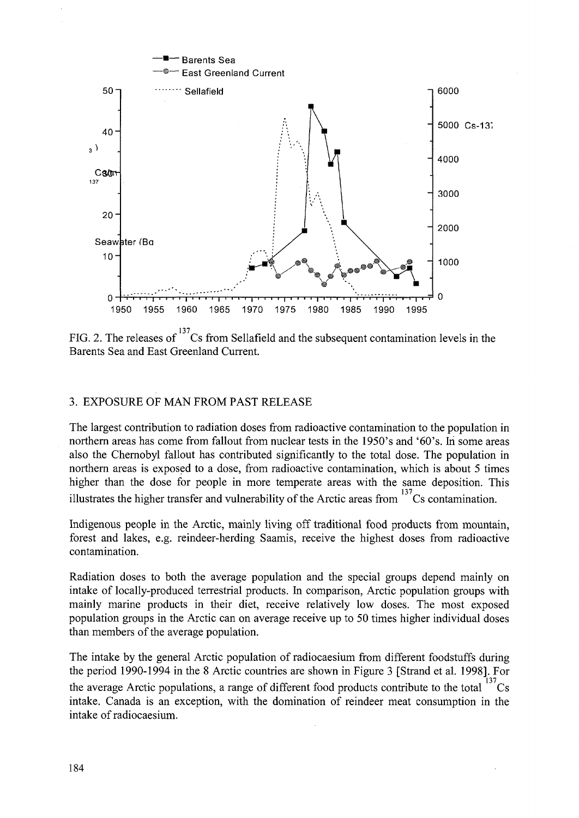

FIG. 2. The releases of  $137$ Cs from Sellafield and the subsequent contamination levels in the Barents Sea and East Greenland Current.

#### 3. EXPOSURE OF MAN FROM PAST RELEASE

The largest contribution to radiation doses from radioactive contamination to the population in northern areas has come from fallout from nuclear tests in the 1950's and '60's. In some areas also the Chernobyl fallout has contributed significantly to the total dose. The population in northern areas is exposed to a dose, from radioactive contamination, which is about 5 times higher than the dose for people in more temperate areas with the same deposition. This illustrates the higher transfer and vulnerability of the Arctic areas from  $137$ Cs contamination.

Indigenous people in the Arctic, mainly living off traditional food products from mountain, forest and lakes, e.g. reindeer-herding Saamis, receive the highest doses from radioactive contamination.

Radiation doses to both the average population and the special groups depend mainly on intake of locally-produced terrestrial products. In comparison, Arctic population groups with mainly marine products in their diet, receive relatively low doses. The most exposed population groups in the Arctic can on average receive up to 50 times higher individual doses than members of the average population.

The intake by the general Arctic population of radiocaesium from different foodstuffs during the period 1990-1994 in the 8 Arctic countries are shown in Figure 3 [Strand et al. 1998]. For the average Arctic populations, a range of different food products contribute to the total  $^{13}$ Cs intake. Canada is an exception, with the domination of reindeer meat consumption in the intake of radiocaesium.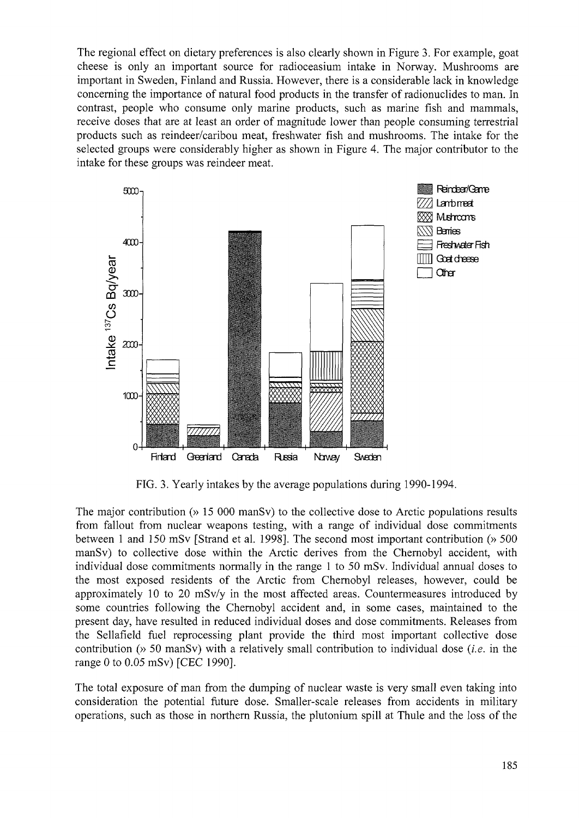The regional effect on dietary preferences is also clearly shown in Figure 3. For example, goat cheese is only an important source for radioceasium intake in Norway. Mushrooms are important in Sweden, Finland and Russia. However, there is a considerable lack in knowledge concerning the importance of natural food products in the transfer of radionuclides to man. In contrast, people who consume only marine products, such as marine fish and mammals, receive doses that are at least an order of magnitude lower than people consuming terrestrial products such as reindeer/caribou meat, freshwater fish and mushrooms. The intake for the selected groups were considerably higher as shown in Figure 4. The major contributor to the intake for these groups was reindeer meat.



FIG. 3. Yearly intakes by the average populations during 1990-1994.

The major contribution (» 15 000 manSv) to the collective dose to Arctic populations results from fallout from nuclear weapons testing, with a range of individual dose commitments between 1 and 150 mSv [Strand et al. 1998]. The second most important contribution (» 500 manSv) to collective dose within the Arctic derives from the Chernobyl accident, with individual dose commitments normally in the range 1 to 50 mSv. Individual annual doses to the most exposed residents of the Arctic from Chernobyl releases, however, could be approximately 10 to 20 mSv/y in the most affected areas. Countermeasures introduced by some countries following the Chernobyl accident and, in some cases, maintained to the present day, have resulted in reduced individual doses and dose commitments. Releases from the Sellafield fuel reprocessing plant provide the third most important collective dose contribution (» 50 manSv) with a relatively small contribution to individual dose *(i.e.* in the range 0 to 0.05 mSv) [CEC 1990].

The total exposure of man from the dumping of nuclear waste is very small even taking into consideration the potential future dose. Smaller-scale releases from accidents in military operations, such as those in northern Russia, the plutonium spill at Thule and the loss of the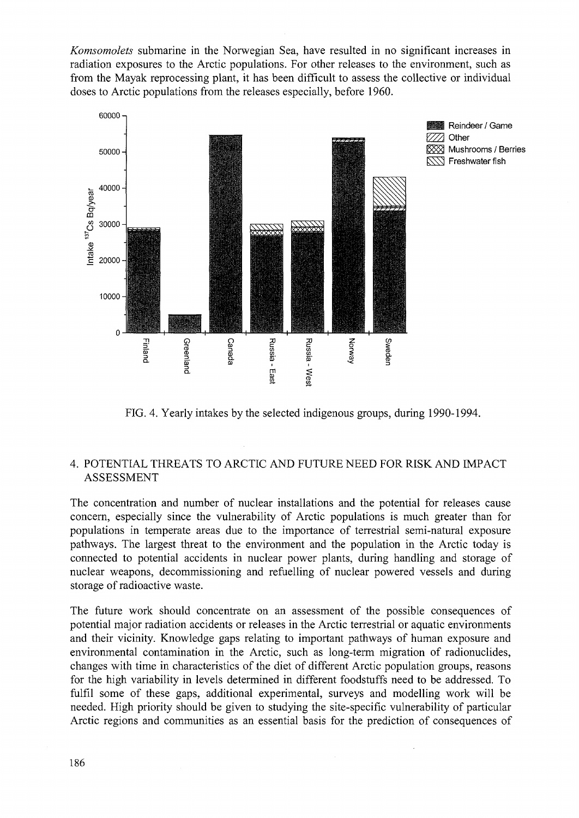*Komsomolets* submarine in the Norwegian Sea, have resulted in no significant increases in radiation exposures to the Arctic populations. For other releases to the environment, such as from the Mayak reprocessing plant, it has been difficult to assess the collective or individual doses to Arctic populations from the releases especially, before 1960.



FIG. 4. Yearly intakes by the selected indigenous groups, during 1990-1994.

# 4. POTENTIAL THREATS TO ARCTIC AND FUTURE NEED FOR RISK AND IMPACT ASSESSMENT

The concentration and number of nuclear installations and the potential for releases cause concern, especially since the vulnerability of Arctic populations is much greater than for populations in temperate areas due to the importance of terrestrial semi-natural exposure pathways. The largest threat to the environment and the population in the Arctic today is connected to potential accidents in nuclear power plants, during handling and storage of nuclear weapons, decommissioning and refuelling of nuclear powered vessels and during storage of radioactive waste.

The future work should concentrate on an assessment of the possible consequences of potential major radiation accidents or releases in the Arctic terrestrial or aquatic environments and their vicinity. Knowledge gaps relating to important pathways of human exposure and environmental contamination in the Arctic, such as long-term migration of radionuclides, changes with time in characteristics of the diet of different Arctic population groups, reasons for the high variability in levels determined in different foodstuffs need to be addressed. To fulfil some of these gaps, additional experimental, surveys and modelling work will be needed. High priority should be given to studying the site-specific vulnerability of particular Arctic regions and communities as an essential basis for the prediction of consequences of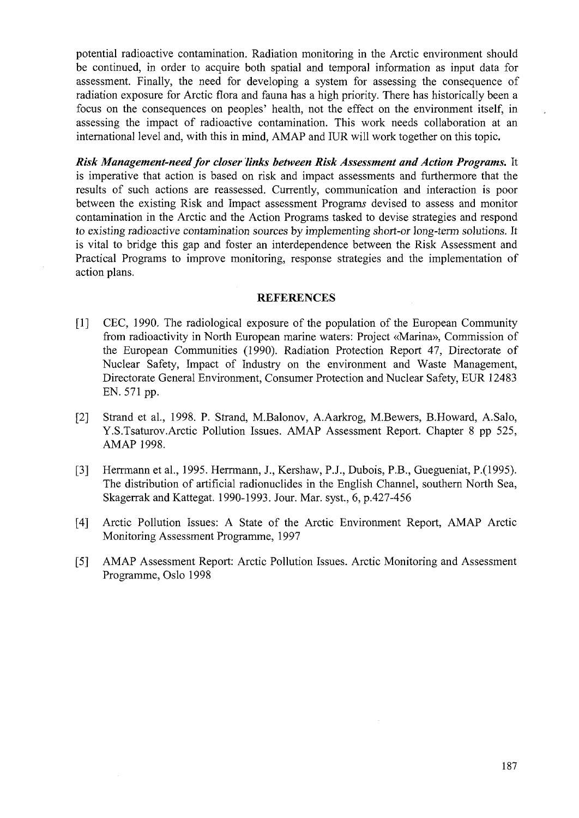potential radioactive contamination. Radiation monitoring in the Arctic environment should be continued, in order to acquire both spatial and temporal information as input data for assessment. Finally, the need for developing a system for assessing the consequence of radiation exposure for Arctic flora and fauna has a high priority. There has historically been a focus on the consequences on peoples' health, not the effect on the environment itself, in assessing the impact of radioactive contamination. This work needs collaboration at an international level and, with this in mind, AMAP and IUR will work together on this topic.

*Risk Management-need for closer links between Risk Assessment and Action Programs.* It is imperative that action is based on risk and impact assessments and furthermore that the results of such actions are reassessed. Currently, communication and interaction is poor between the existing Risk and Impact assessment Programs devised to assess and monitor contamination in the Arctic and the Action Programs tasked to devise strategies and respond to existing radioactive contamination sources by implementing short-or long-term solutions. It is vital to bridge this gap and foster an interdependence between the Risk Assessment and Practical Programs to improve monitoring, response strategies and the implementation of action plans.

#### REFERENCES

- [1] CEC, 1990. The radiological exposure of the population of the European Community from radioactivity in North European marine waters: Project «Marina», Commission of the European Communities (1990). Radiation Protection Report 47, Directorate of Nuclear Safety, Impact of Industry on the environment and Waste Management, Directorate General Environment, Consumer Protection and Nuclear Safety, EUR 12483 EN. 571 pp.
- [2] Strand et al., 1998. P. Strand, M.Balonov, A.Aarkrog, M.Bewers, B.Howard, A.Salo, Y.S.Tsaturov.Arctic Pollution Issues. AMAP Assessment Report. Chapter 8 pp 525, AMAP 1998.
- [3] Herrmann et al, 1995. Herrmann, J., Kershaw, P.J., Dubois, P.B., Guegueniat, P.(1995). The distribution of artificial radionuclides in the English Channel, southern North Sea, Skagerrak and Kattegat. 1990-1993. Jour. Mar. syst., 6, p.427-456
- [4] Arctic Pollution Issues: A State of the Arctic Environment Report, AMAP Arctic Monitoring Assessment Programme, 1997
- [5] AMAP Assessment Report: Arctic Pollution Issues. Arctic Monitoring and Assessment Programme, Oslo 1998